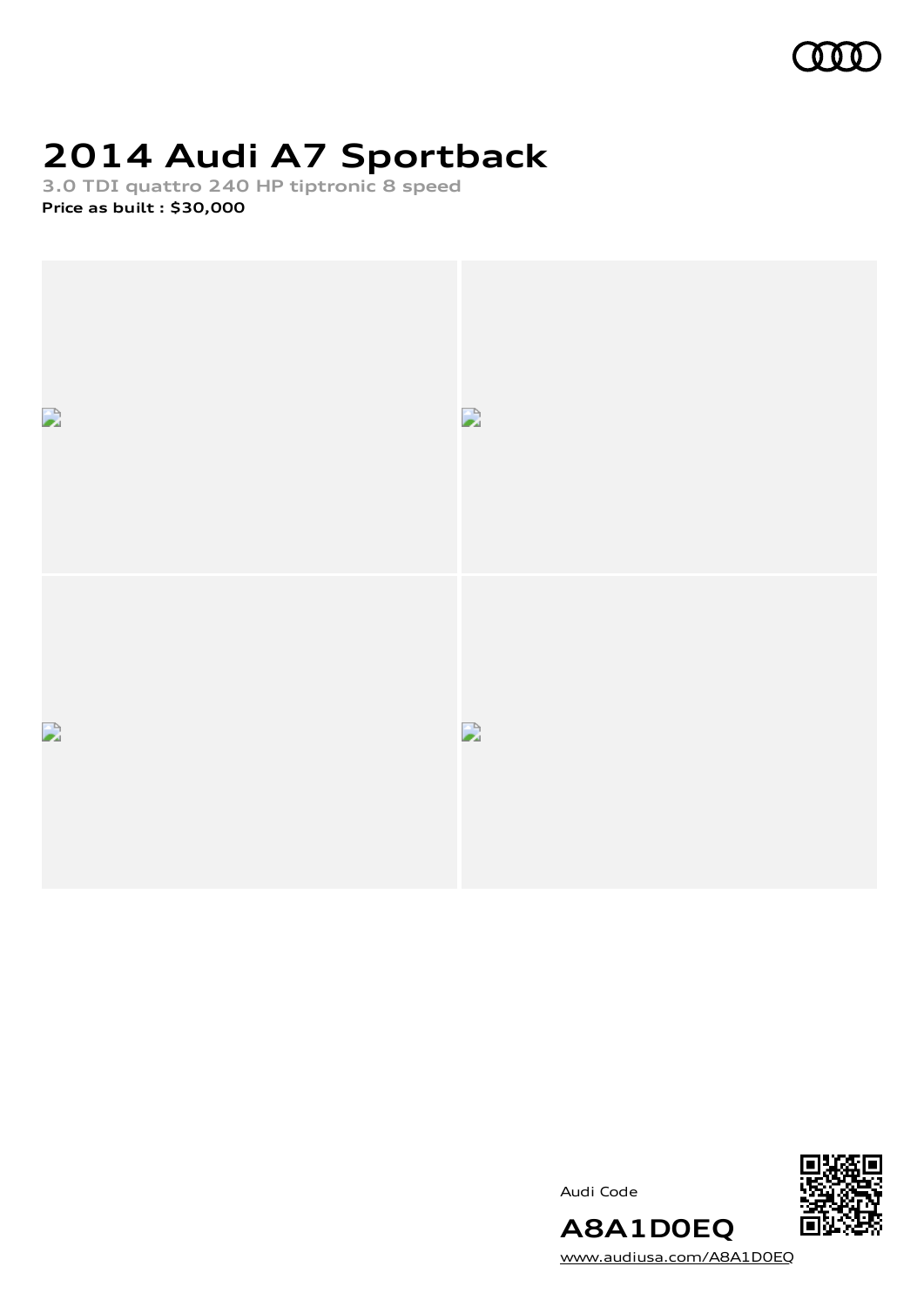

# **2014 Audi A7 Sportback**

**3.0 TDI quattro 240 HP tiptronic 8 speed Price as built [:](#page-10-0) \$30,000**



Audi Code



**A8A1D0EQ** [www.audiusa.com/A8A1D0EQ](https://www.audiusa.com/A8A1D0EQ)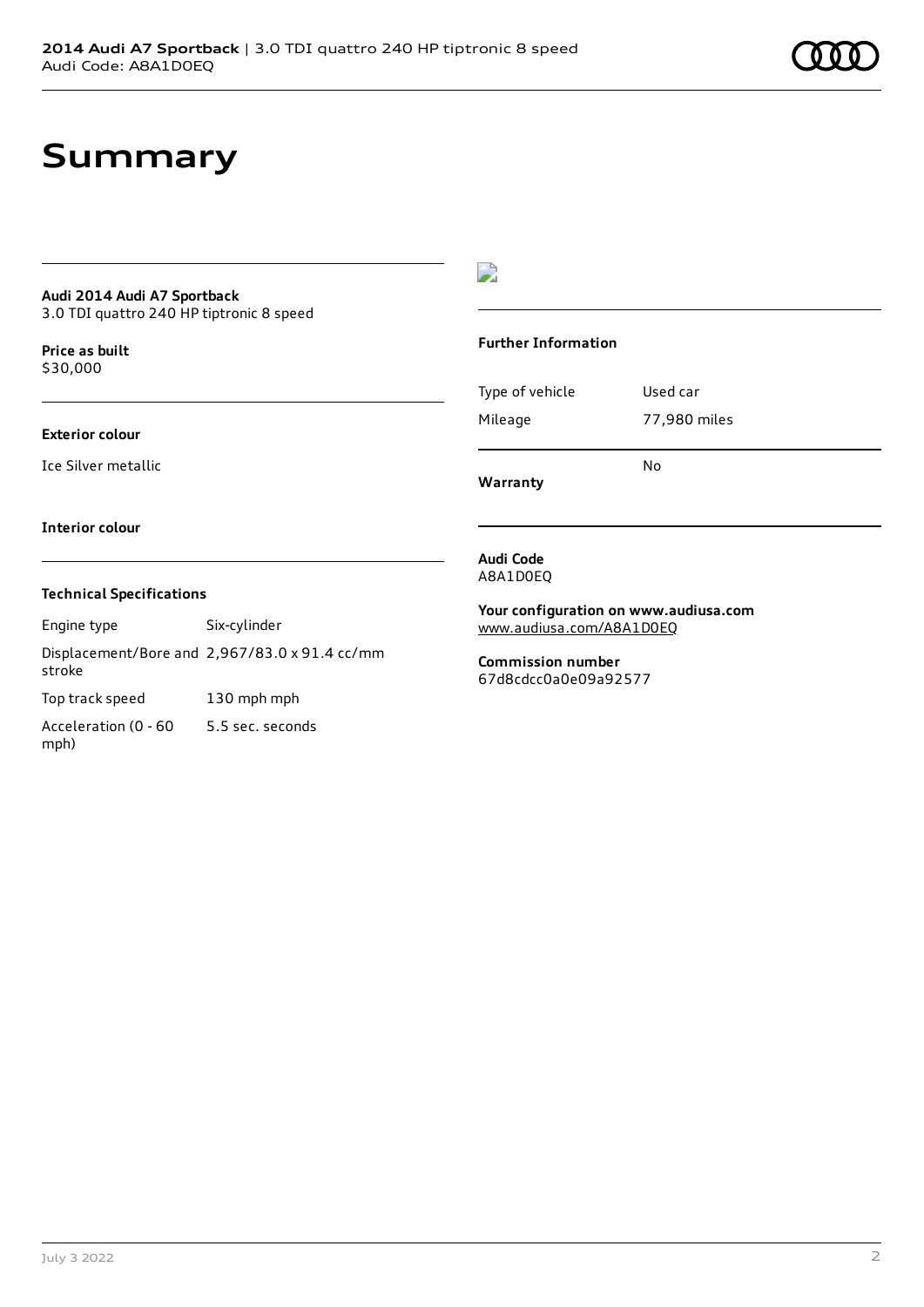### **Summary**

### **Audi 2014 Audi A7 Sportback**

3.0 TDI quattro 240 HP tiptronic 8 speed

**Price as buil[t](#page-10-0)** \$30,000

#### **Exterior colour**

Ice Silver metallic

#### D

#### **Further Information**

|                 | N٥           |
|-----------------|--------------|
| Mileage         | 77,980 miles |
| Type of vehicle | Used car     |

**Warranty**

#### **Interior colour**

#### **Technical Specifications**

Engine type Six-cylinder Displacement/Bore and 2,967/83.0 x 91.4 cc/mm stroke

Top track speed 130 mph mph

Acceleration (0 - 60 mph) 5.5 sec. seconds

#### **Audi Code** A8A1D0EQ

**Your configuration on www.audiusa.com** [www.audiusa.com/A8A1D0EQ](https://www.audiusa.com/A8A1D0EQ)

**Commission number** 67d8cdcc0a0e09a92577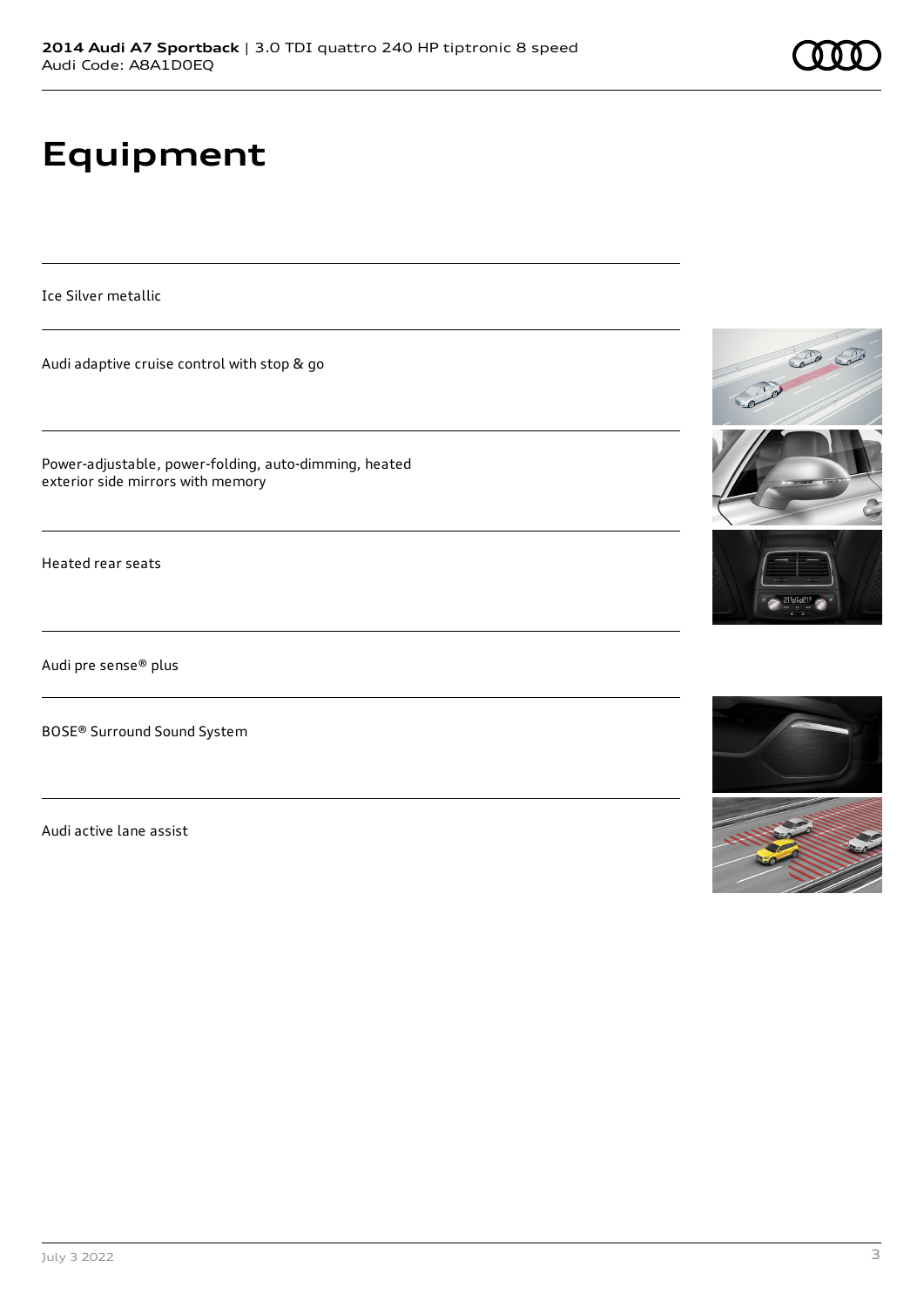# **Equipment**

Ice Silver metallic

Audi adaptive cruise control with stop & go

Power-adjustable, power-folding, auto-dimming, heated exterior side mirrors with memory

Heated rear seats

Audi pre sense® plus

BOSE® Surround Sound System

Audi active lane assist





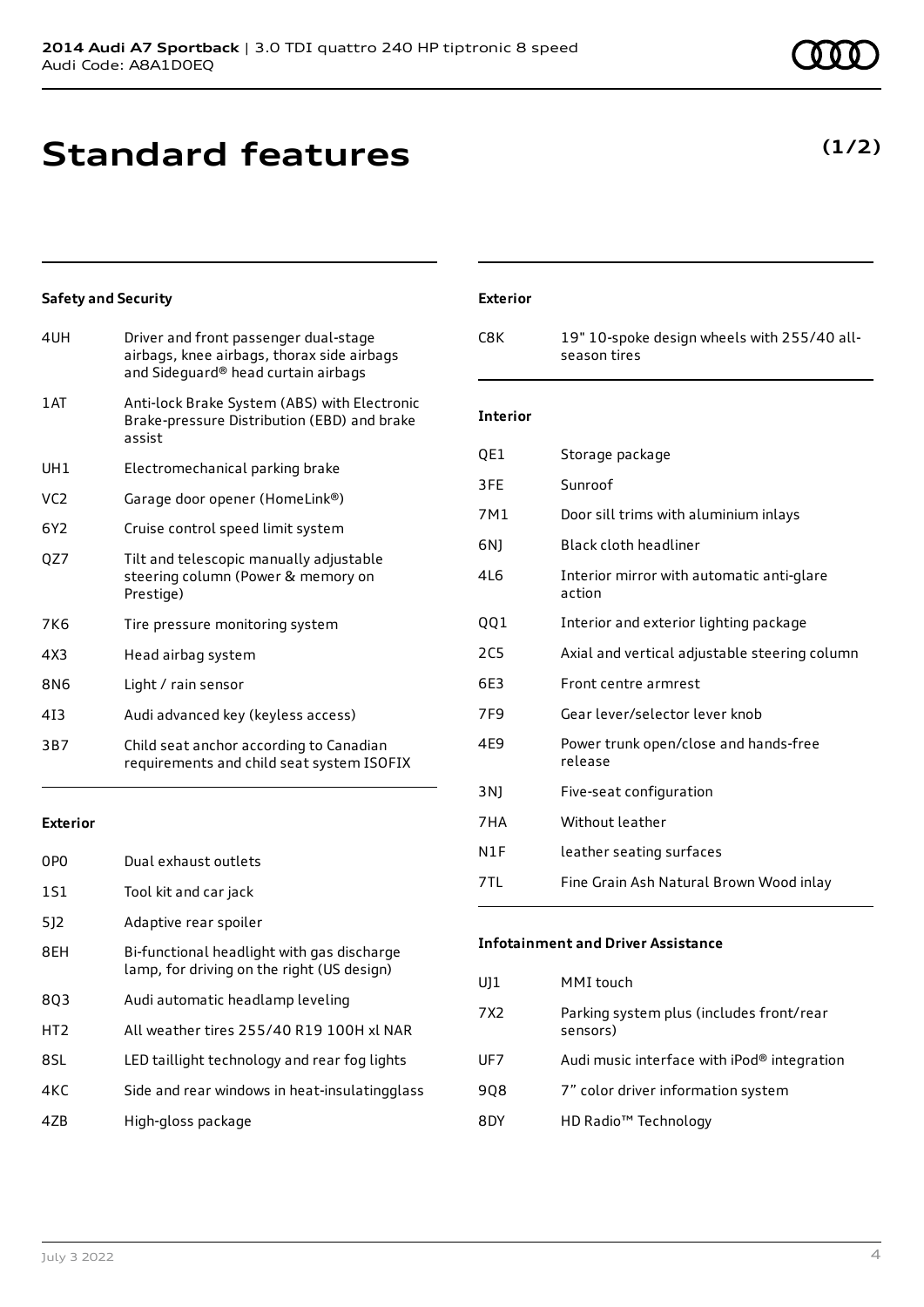## **Standard features**

#### **Safety and Security**

| 4UH             | Driver and front passenger dual-stage<br>airbags, knee airbags, thorax side airbags<br>and Sideguard® head curtain airbags |
|-----------------|----------------------------------------------------------------------------------------------------------------------------|
| 1AT             | Anti-lock Brake System (ABS) with Electronic<br>Brake-pressure Distribution (EBD) and brake<br>assist                      |
| UH1             | Electromechanical parking brake                                                                                            |
| VC <sub>2</sub> | Garage door opener (HomeLink®)                                                                                             |
| 6Y2             | Cruise control speed limit system                                                                                          |
| QZ7             | Tilt and telescopic manually adjustable<br>steering column (Power & memory on<br>Prestige)                                 |
| 7K6             | Tire pressure monitoring system                                                                                            |
| 4X3             | Head airbag system                                                                                                         |
| 8N6             | Light / rain sensor                                                                                                        |
| 413             | Audi advanced key (keyless access)                                                                                         |
| 3B7             | Child seat anchor according to Canadian<br>requirements and child seat system ISOFIX                                       |
|                 |                                                                                                                            |

#### **Exterior**

| 0PO             | Dual exhaust outlets                                                                     |
|-----------------|------------------------------------------------------------------------------------------|
| 1S1             | Tool kit and car jack                                                                    |
| 5]2             | Adaptive rear spoiler                                                                    |
| 8EH             | Bi-functional headlight with gas discharge<br>lamp, for driving on the right (US design) |
| 803             | Audi automatic headlamp leveling                                                         |
| HT <sub>2</sub> | All weather tires 255/40 R19 100H xl NAR                                                 |
| 8SL             | LED taillight technology and rear fog lights                                             |
| 4KC             | Side and rear windows in heat-insulatingglass                                            |
| 4ZB             | High-gloss package                                                                       |

#### **Exterior**

C8K 19" 10-spoke design wheels with 255/40 allseason tires

#### **Interior**

| QE1 | Storage package                                     |
|-----|-----------------------------------------------------|
| 3FE | Sunroof                                             |
| 7M1 | Door sill trims with aluminium inlays               |
| 6N) | Black cloth headliner                               |
| 4L6 | Interior mirror with automatic anti-glare<br>action |
| QQ1 | Interior and exterior lighting package              |
| 2C5 | Axial and vertical adjustable steering column       |
| 6E3 | Front centre armrest                                |
| 7F9 | Gear lever/selector lever knob                      |
| 4E9 | Power trunk open/close and hands-free<br>release    |
| 3N) | Five-seat configuration                             |
| 7HA | Without leather                                     |
| N1F | leather seating surfaces                            |
| 7TL | Fine Grain Ash Natural Brown Wood inlay             |
|     |                                                     |

#### **Infotainment and Driver Assistance**

| U) 1 | MMI touch                                                       |
|------|-----------------------------------------------------------------|
| 7X2  | Parking system plus (includes front/rear<br>sensors)            |
| UF7  | Audi music interface with $i$ Pod $\textcircled{e}$ integration |
| 9Q8  | 7" color driver information system                              |
| 8DY  | HD Radio <sup>™</sup> Technology                                |
|      |                                                                 |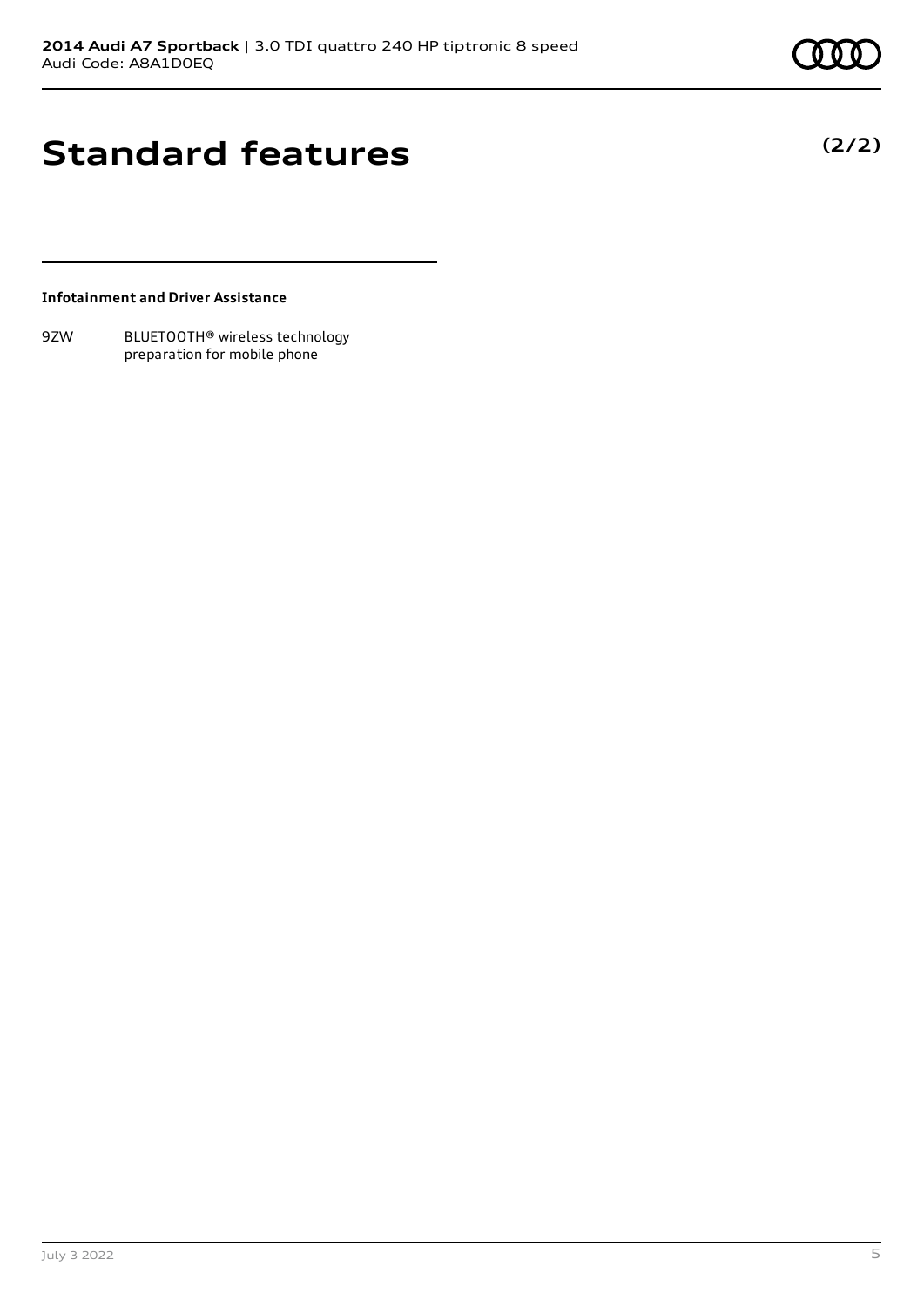**(2/2)**

### **Standard features**

**Infotainment and Driver Assistance**

9ZW BLUETOOTH® wireless technology preparation for mobile phone

July 3 2022 5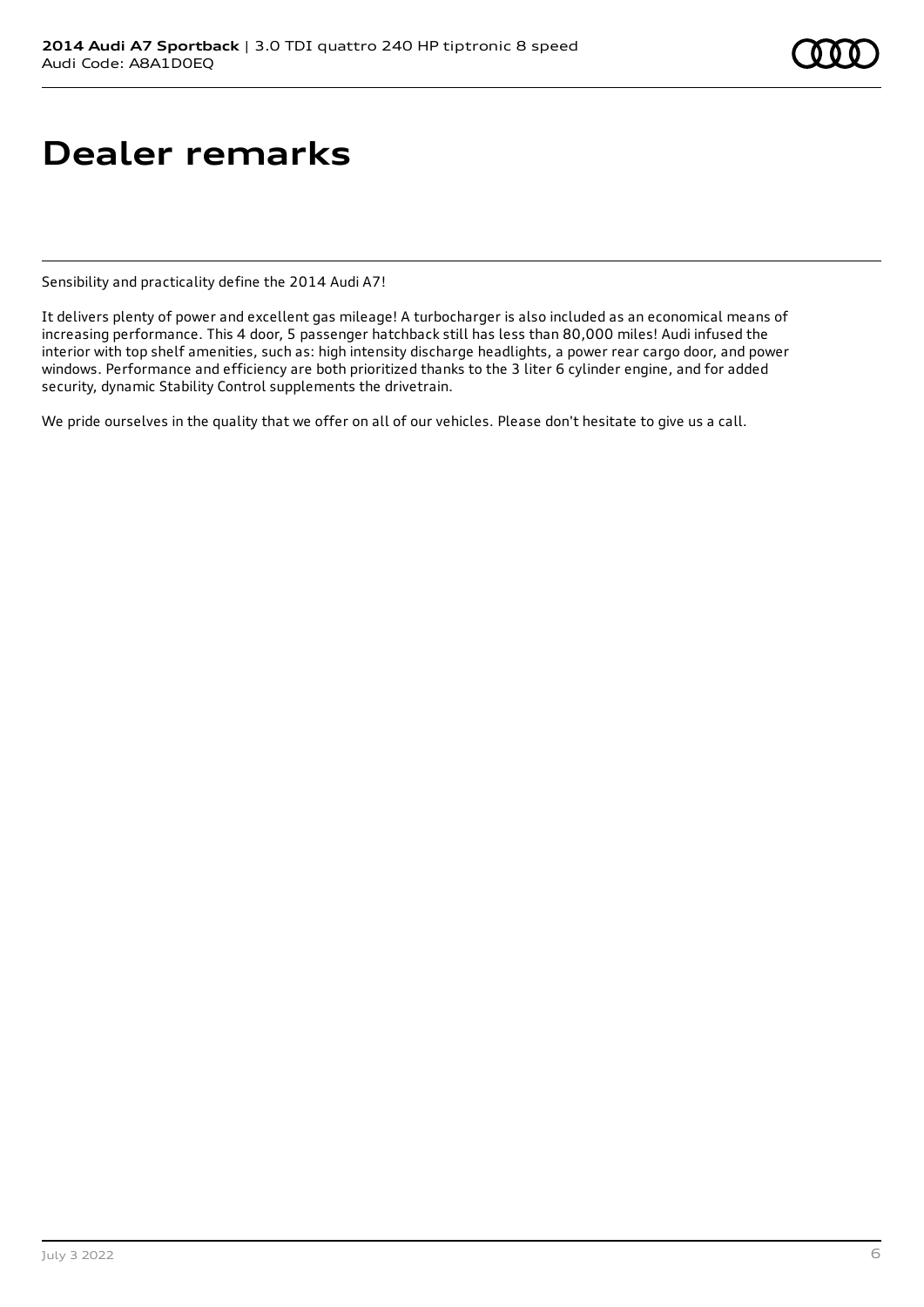## **Dealer remarks**

Sensibility and practicality define the 2014 Audi A7!

It delivers plenty of power and excellent gas mileage! A turbocharger is also included as an economical means of increasing performance. This 4 door, 5 passenger hatchback still has less than 80,000 miles! Audi infused the interior with top shelf amenities, such as: high intensity discharge headlights, a power rear cargo door, and power windows. Performance and efficiency are both prioritized thanks to the 3 liter 6 cylinder engine, and for added security, dynamic Stability Control supplements the drivetrain.

We pride ourselves in the quality that we offer on all of our vehicles. Please don't hesitate to give us a call.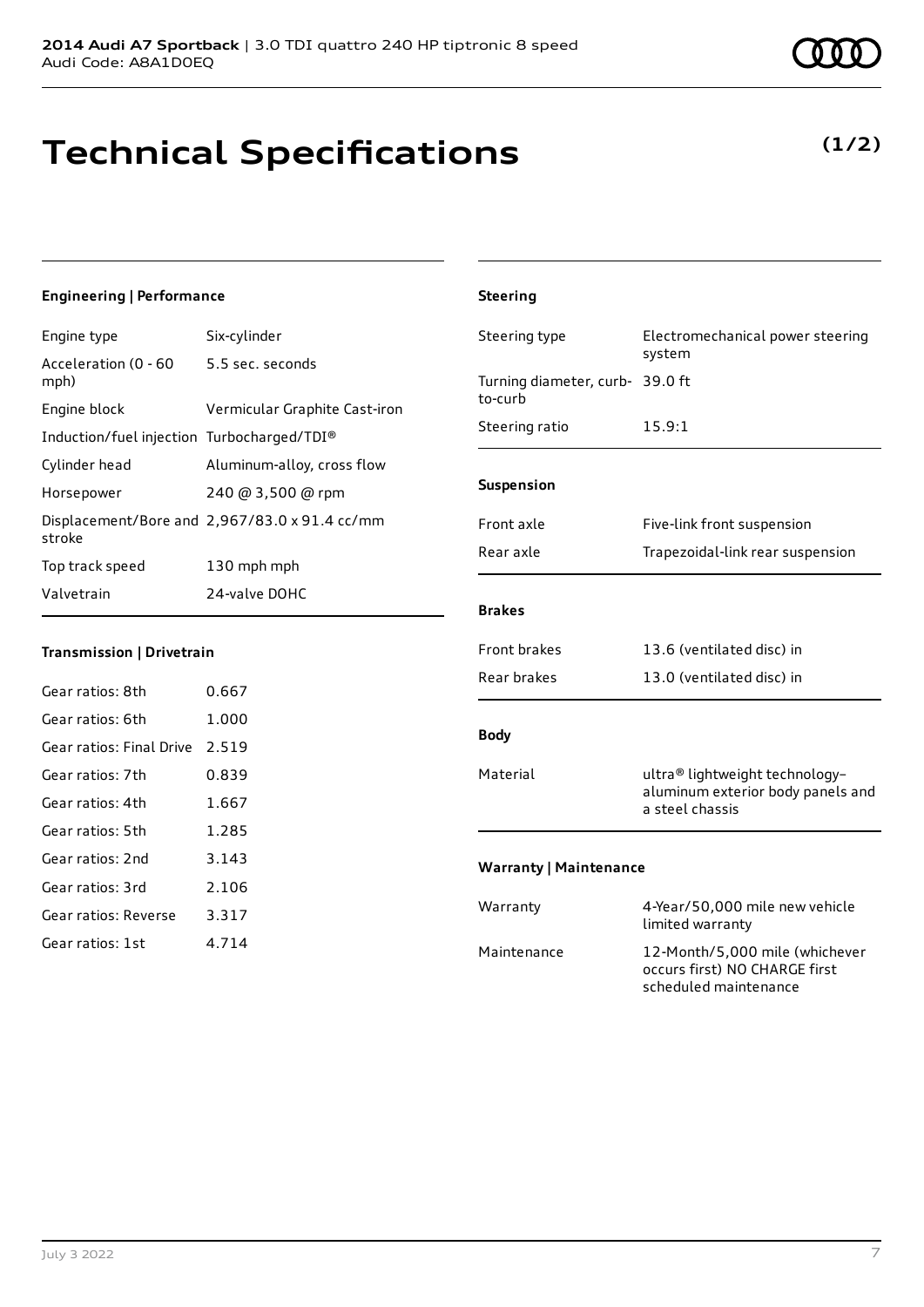## **Technical Specifications**

#### **Engineering | Performance**

| Engine type                                | Six-cylinder                                  |
|--------------------------------------------|-----------------------------------------------|
| Acceleration (0 - 60<br>mph)               | 5.5 sec. seconds                              |
| Engine block                               | Vermicular Graphite Cast-iron                 |
| Induction/fuel injection Turbocharged/TDI® |                                               |
| Cylinder head                              | Aluminum-alloy, cross flow                    |
| Horsepower                                 | $240 \text{ @ } 3,500 \text{ @ }$ rpm         |
| stroke                                     | Displacement/Bore and 2,967/83.0 x 91.4 cc/mm |
| Top track speed                            | 130 mph mph                                   |
| Valvetrain                                 | 24-valve DOHC                                 |

#### **Transmission | Drivetrain**

| Gear ratios: 8th         | 0.667 |
|--------------------------|-------|
| Gear ratios: 6th         | 1.000 |
| Gear ratios: Final Drive | 2.519 |
| Gear ratios: 7th         | 0.839 |
| Gear ratios: 4th         | 1.667 |
| Gear ratios: 5th         | 1.285 |
| Gear ratios: 2nd         | 3.143 |
| Gear ratios: 3rd         | 2.106 |
| Gear ratios: Reverse     | 3.317 |
| Gear ratios: 1st         | 4 714 |

| Steering type                      | Electromechanical power steering<br>system                                               |
|------------------------------------|------------------------------------------------------------------------------------------|
| Turning diameter, curb-<br>to-curb | 39.0 ft                                                                                  |
| Steering ratio                     | 15.9:1                                                                                   |
| Suspension                         |                                                                                          |
| Front axle                         | Five-link front suspension                                                               |
| Rear axle                          | Trapezoidal-link rear suspension                                                         |
| <b>Brakes</b>                      |                                                                                          |
| <b>Front brakes</b>                | 13.6 (ventilated disc) in                                                                |
| Rear brakes                        | 13.0 (ventilated disc) in                                                                |
| <b>Body</b>                        |                                                                                          |
| Material                           | ultra® lightweight technology-<br>aluminum exterior body panels and<br>a steel chassis   |
| <b>Warranty   Maintenance</b>      |                                                                                          |
| Warranty                           | 4-Year/50,000 mile new vehicle<br>limited warranty                                       |
| Maintenance                        | 12-Month/5,000 mile (whichever<br>occurs first) NO CHARGE first<br>scheduled maintenance |

**Steering**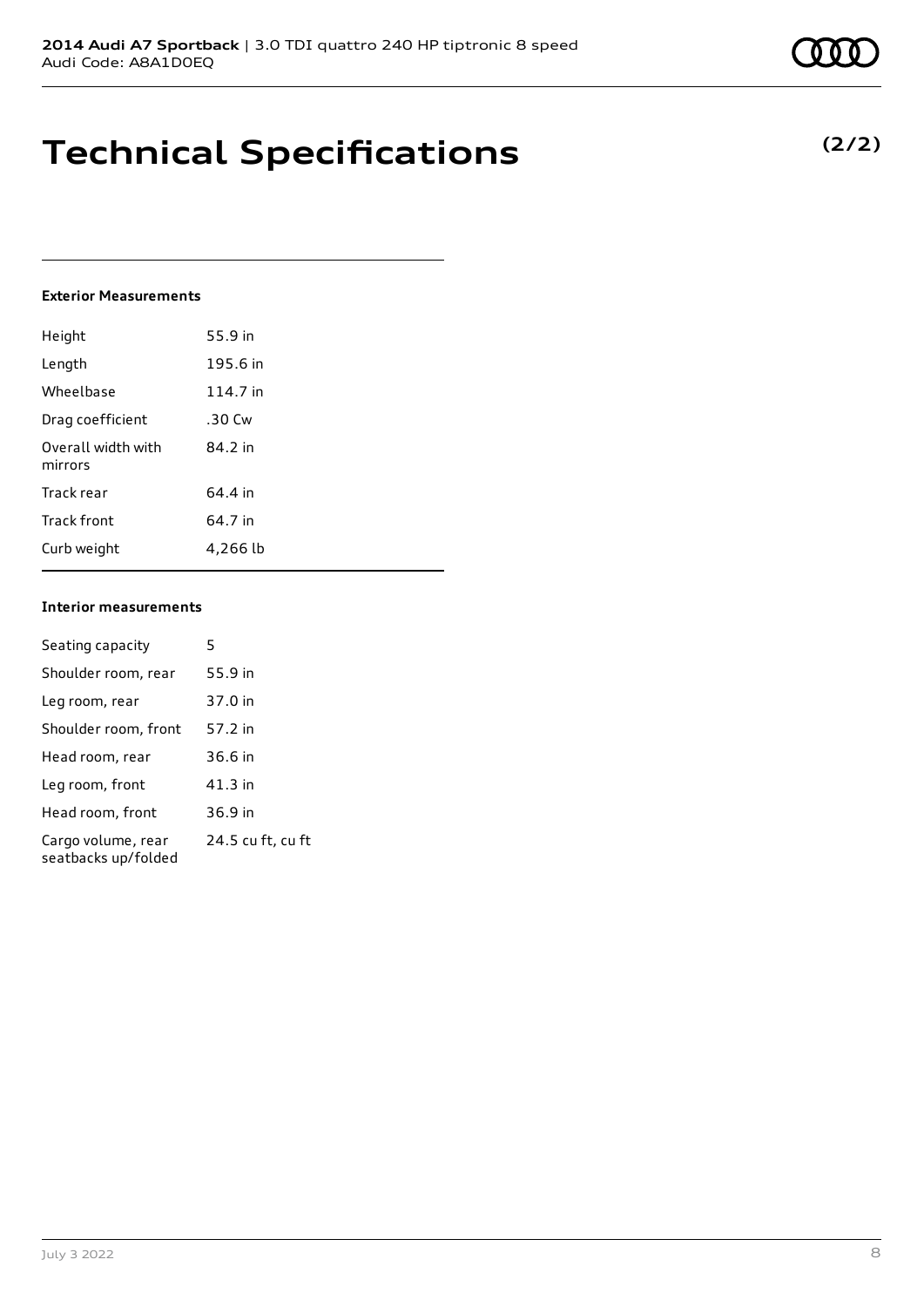### **Technical Specifications**

#### **Exterior Measurements**

| Height                        | 55.9 in  |
|-------------------------------|----------|
| Length                        | 195.6 in |
| Wheelbase                     | 114.7 in |
| Drag coefficient              | .30 Cw   |
| Overall width with<br>mirrors | 84.2 in  |
| Track rear                    | 64.4 in  |
| Track front                   | 64.7 in  |
| Curb weight                   | 4,266 lb |

#### **Interior measurements**

| Seating capacity                          | 5                 |
|-------------------------------------------|-------------------|
| Shoulder room, rear                       | 55.9 in           |
| Leg room, rear                            | 37.0 in           |
| Shoulder room, front                      | 57.2 in           |
| Head room, rear                           | 36.6 in           |
| Leg room, front                           | 41.3 in           |
| Head room, front                          | 36.9 in           |
| Cargo volume, rear<br>seatbacks up/folded | 24.5 cu ft, cu ft |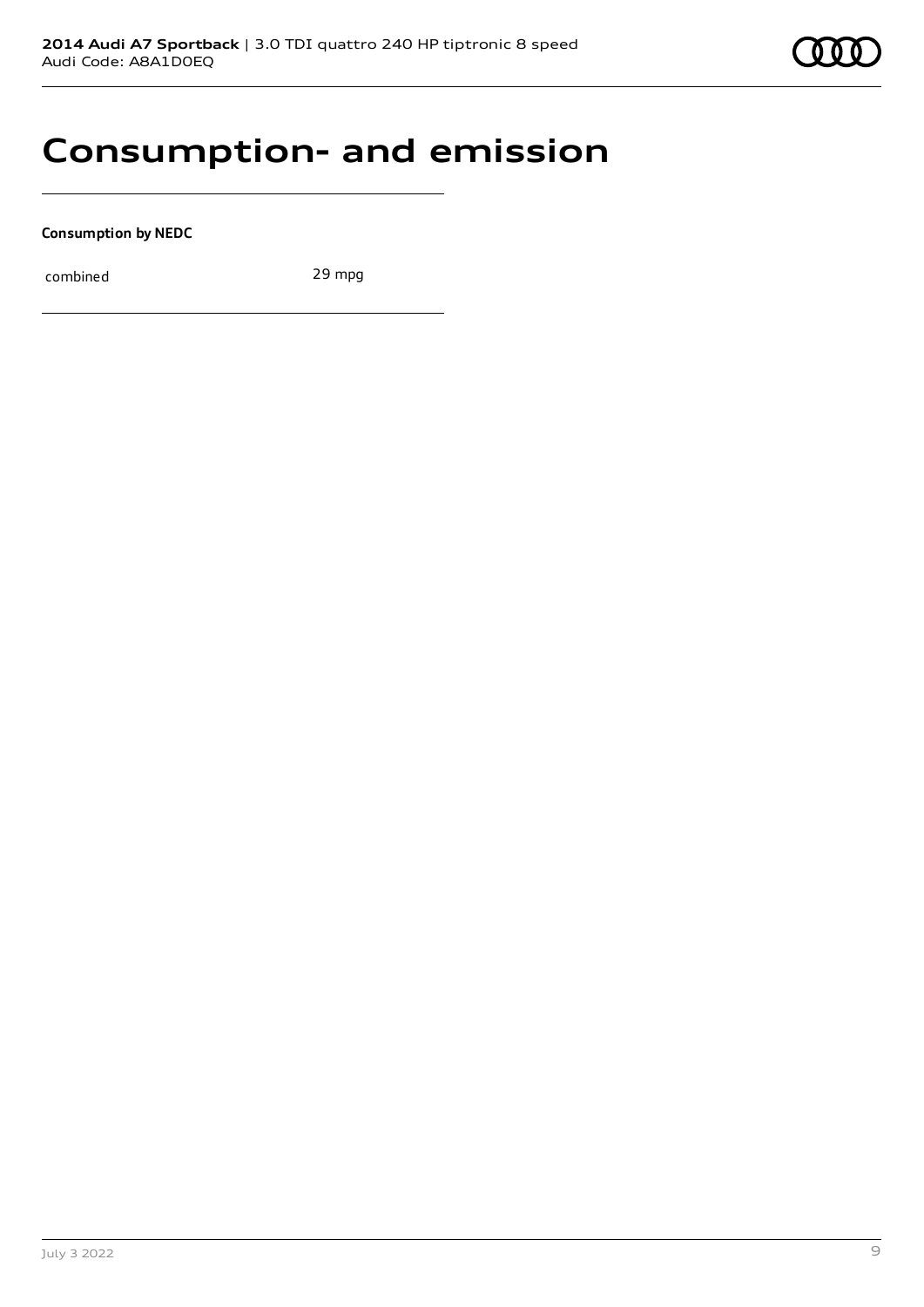

### **Consumption- and emission**

**Consumption by NEDC**

combined 29 mpg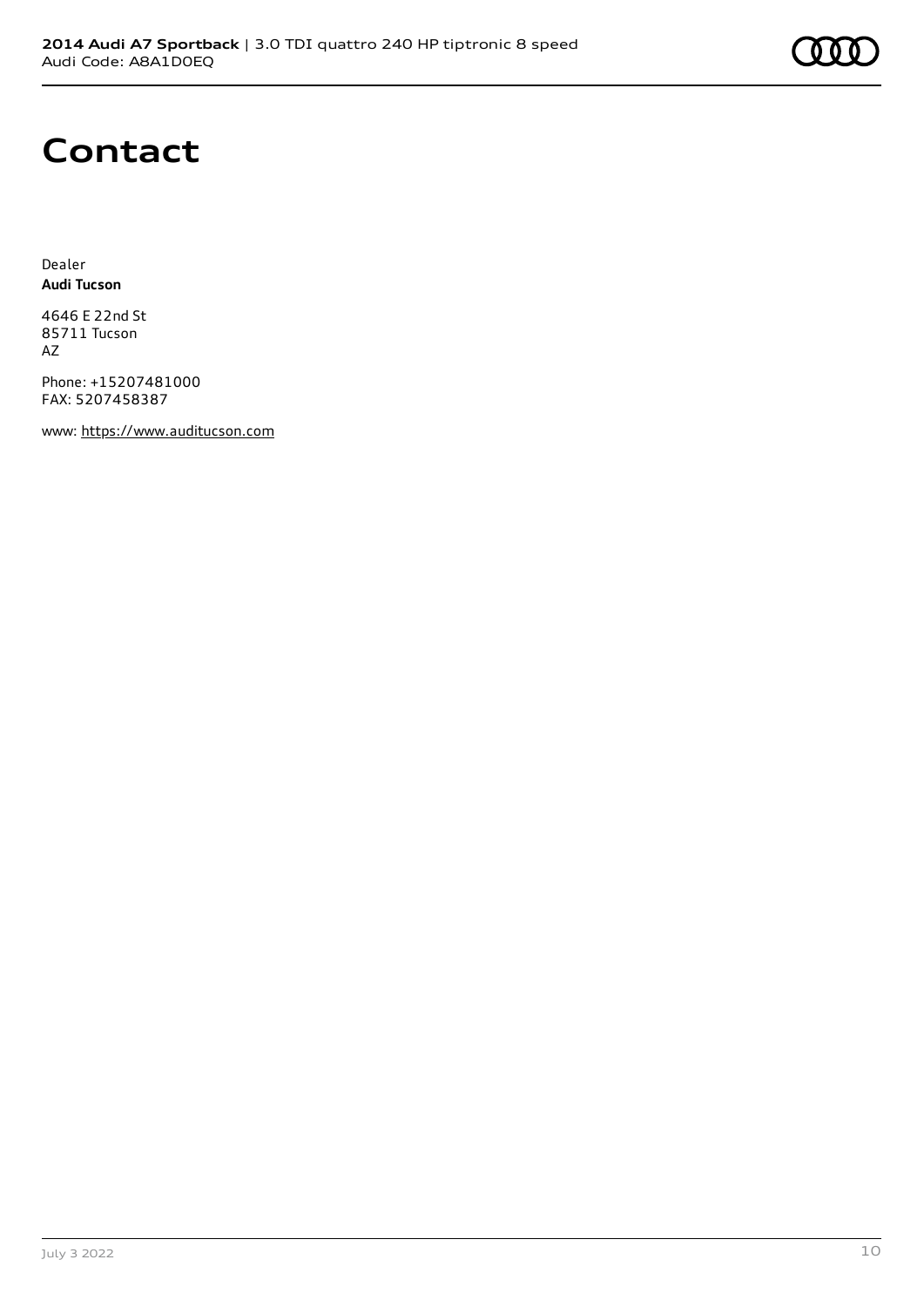# **Contact**

Dealer **Audi Tucson**

4646 E 22nd St 85711 Tucson AZ

Phone: +15207481000 FAX: 5207458387

www: [https://www.auditucson.com](https://www.auditucson.com/)